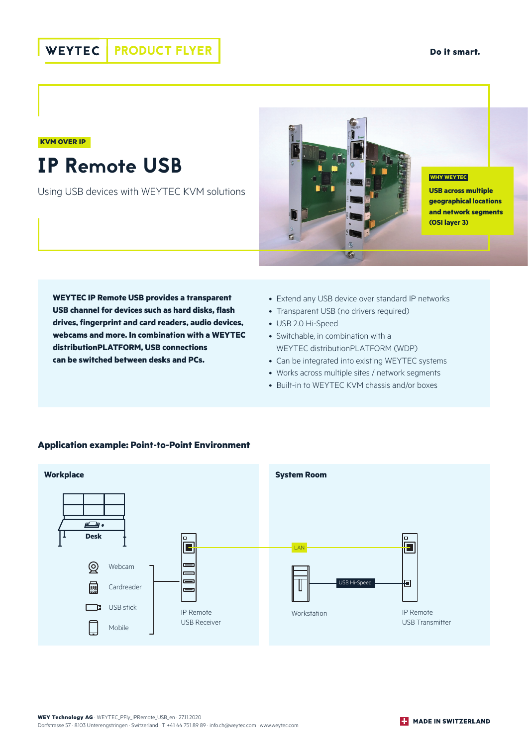## WEYTEC | PRODUCT FLYER

**KVM OVER IP**

# IP Remote USB

Using USB devices with WEYTEC KVM solutions



**WEYTEC IP Remote USB provides a transparent USB channel for devices such as hard disks, flash drives, fingerprint and card readers, audio devices, webcams and more. In combination with a WEYTEC distributionPLATFORM, USB connections can be switched between desks and PCs.**

- Extend any USB device over standard IP networks
- Transparent USB (no drivers required)
- USB 2.0 Hi-Speed
- Switchable, in combination with a WEYTEC distributionPLATFORM (WDP)
- Can be integrated into existing WEYTEC systems
- Works across multiple sites / network segments
- Built-in to WEYTEC KVM chassis and/or boxes



### **Application example: Point-to-Point Environment**